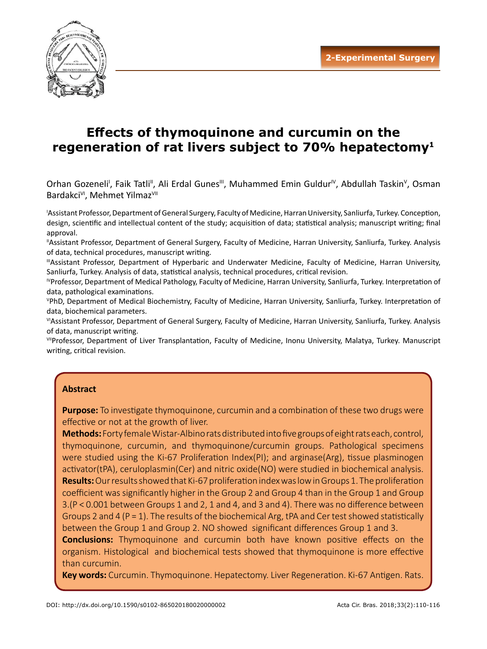

# **Effects of thymoquinone and curcumin on the regeneration of rat livers subject to 70% hepatectomy 1**

Orhan Gozeneli<sup>i</sup>, Faik Tatli<sup>ii</sup>, Ali Erdal Gunes<sup>ii</sup>, Muhammed Emin Guldur<sup>iv</sup>, Abdullah Taskin<sup>v</sup>, Osman Bardakci<sup>v</sup>, Mehmet Yilmaz<sup>vII</sup>

I Assistant Professor, Department of General Surgery, Faculty of Medicine, Harran University, Sanliurfa, Turkey. Conception, design, scientific and intellectual content of the study; acquisition of data; statistical analysis; manuscript writing; final approval.

IIAssistant Professor, Department of General Surgery, Faculty of Medicine, Harran University, Sanliurfa, Turkey. Analysis of data, technical procedures, manuscript writing.

IIIAssistant Professor, Department of Hyperbaric and Underwater Medicine, Faculty of Medicine, Harran University, Sanliurfa, Turkey. Analysis of data, statistical analysis, technical procedures, critical revision.

IVProfessor, Department of Medical Pathology, Faculty of Medicine, Harran University, Sanliurfa, Turkey. Interpretation of data, pathological examinations.

V PhD, Department of Medical Biochemistry, Faculty of Medicine, Harran University, Sanliurfa, Turkey. Interpretation of data, biochemical parameters.

VIAssistant Professor, Department of General Surgery, Faculty of Medicine, Harran University, Sanliurfa, Turkey. Analysis of data, manuscript writing.

VIIProfessor, Department of Liver Transplantation, Faculty of Medicine, Inonu University, Malatya, Turkey. Manuscript writing, critical revision.

# **Abstract**

**Purpose:** To investigate thymoquinone, curcumin and a combination of these two drugs were effective or not at the growth of liver.

**Methods:** Forty female Wistar-Albino rats distributed into five groups of eight rats each, control, thymoquinone, curcumin, and thymoquinone/curcumin groups. Pathological specimens were studied using the Ki-67 Proliferation Index(PI); and arginase(Arg), tissue plasminogen activator(tPA), ceruloplasmin(Cer) and nitric oxide(NO) were studied in biochemical analysis. **Results:** Our results showed that Ki-67 proliferation index was low in Groups 1. The proliferation coefficient was significantly higher in the Group 2 and Group 4 than in the Group 1 and Group 3.(P < 0.001 between Groups 1 and 2, 1 and 4, and 3 and 4). There was no difference between Groups 2 and 4 ( $P = 1$ ). The results of the biochemical Arg, tPA and Cer test showed statistically between the Group 1 and Group 2. NO showed significant differences Group 1 and 3.

**Conclusions:** Thymoquinone and curcumin both have known positive effects on the organism. Histological and biochemical tests showed that thymoquinone is more effective than curcumin.

**Key words:** Curcumin. Thymoquinone. Hepatectomy. Liver Regeneration. Ki-67 Antigen. Rats.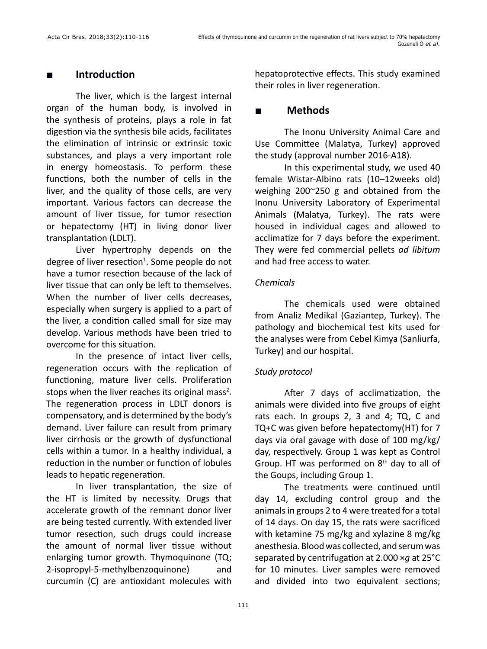# **■ Introduction**

The liver, which is the largest internal organ of the human body, is involved in the synthesis of proteins, plays a role in fat digestion via the synthesis bile acids, facilitates the elimination of intrinsic or extrinsic toxic substances, and plays a very important role in energy homeostasis. To perform these functions, both the number of cells in the liver, and the quality of those cells, are very important. Various factors can decrease the amount of liver tissue, for tumor resection or hepatectomy (HT) in living donor liver transplantation (LDLT).

Liver hypertrophy depends on the degree of liver resection<sup>1</sup>. Some people do not have a tumor resection because of the lack of liver tissue that can only be left to themselves. When the number of liver cells decreases, especially when surgery is applied to a part of the liver, a condition called small for size may develop. Various methods have been tried to overcome for this situation.

In the presence of intact liver cells, regeneration occurs with the replication of functioning, mature liver cells. Proliferation stops when the liver reaches its original mass<sup>2</sup>. The regeneration process in LDLT donors is compensatory, and is determined by the body's demand. Liver failure can result from primary liver cirrhosis or the growth of dysfunctional cells within a tumor. In a healthy individual, a reduction in the number or function of lobules leads to hepatic regeneration.

In liver transplantation, the size of the HT is limited by necessity. Drugs that accelerate growth of the remnant donor liver are being tested currently. With extended liver tumor resection, such drugs could increase the amount of normal liver tissue without enlarging tumor growth. Thymoquinone (TQ; 2-isopropyl-5-methylbenzoquinone) and curcumin (C) are antioxidant molecules with

hepatoprotective effects. This study examined their roles in liver regeneration.

# **■ Methods**

The Inonu University Animal Care and Use Committee (Malatya, Turkey) approved the study (approval number 2016-A18).

In this experimental study, we used 40 female Wistar-Albino rats (10–12weeks old) weighing 200~250 g and obtained from the Inonu University Laboratory of Experimental Animals (Malatya, Turkey). The rats were housed in individual cages and allowed to acclimatize for 7 days before the experiment. They were fed commercial pellets *ad libitum* and had free access to water.

# *Chemicals*

The chemicals used were obtained from Analiz Medikal (Gaziantep, Turkey). The pathology and biochemical test kits used for the analyses were from Cebel Kimya (Sanliurfa, Turkey) and our hospital.

# *Study protocol*

After 7 days of acclimatization, the animals were divided into five groups of eight rats each. In groups 2, 3 and 4; TQ, C and TQ+C was given before hepatectomy(HT) for 7 days via oral gavage with dose of 100 mg/kg/ day, respectively. Group 1 was kept as Control Group. HT was performed on 8<sup>th</sup> day to all of the Goups, including Group 1.

The treatments were continued until day 14, excluding control group and the animals in groups 2 to 4 were treated for a total of 14 days. On day 15, the rats were sacrificed with ketamine 75 mg/kg and xylazine 8 mg/kg anesthesia. Blood was collected, and serum was separated by centrifugation at 2.000 ×*g* at 25°C for 10 minutes. Liver samples were removed and divided into two equivalent sections;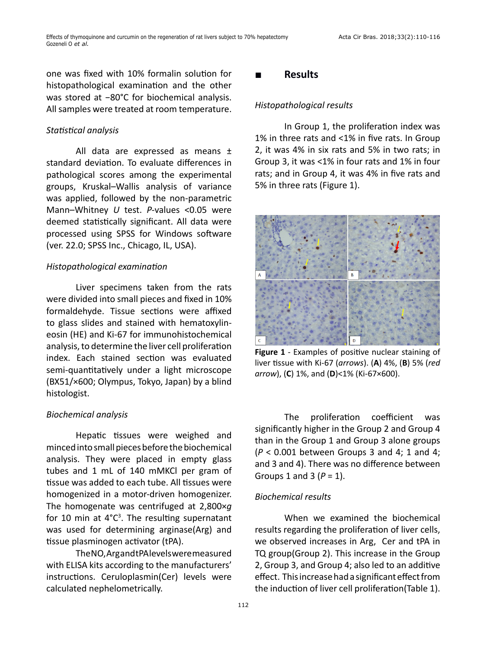one was fixed with 10% formalin solution for histopathological examination and the other was stored at −80°C for biochemical analysis. All samples were treated at room temperature.

#### *Statistical analysis*

All data are expressed as means ± standard deviation. To evaluate differences in pathological scores among the experimental groups, Kruskal–Wallis analysis of variance was applied, followed by the non-parametric Mann–Whitney *U* test. *P-*values <0.05 were deemed statistically significant. All data were processed using SPSS for Windows software (ver. 22.0; SPSS Inc., Chicago, IL, USA).

#### *Histopathological examination*

Liver specimens taken from the rats were divided into small pieces and fixed in 10% formaldehyde. Tissue sections were affixed to glass slides and stained with hematoxylineosin (HE) and Ki-67 for immunohistochemical analysis, to determine the liver cell proliferation index. Each stained section was evaluated semi-quantitatively under a light microscope (BX51/×600; Olympus, Tokyo, Japan) by a blind histologist.

#### *Biochemical analysis*

Hepatic tissues were weighed and minced into small pieces before the biochemical analysis. They were placed in empty glass tubes and 1 mL of 140 mMKCl per gram of tissue was added to each tube. All tissues were homogenized in a motor-driven homogenizer. The homogenate was centrifuged at 2,800×*g* for 10 min at  $4^{\circ}C^3$ . The resulting supernatant was used for determining arginase(Arg) and tissue plasminogen activator (tPA).

The NO, Arg and tPA levels were measured with ELISA kits according to the manufacturers' instructions. Ceruloplasmin(Cer) levels were calculated nephelometrically.

#### **■ Results**

#### *Histopathological results*

In Group 1, the proliferation index was 1% in three rats and <1% in five rats. In Group 2, it was 4% in six rats and 5% in two rats; in Group 3, it was <1% in four rats and 1% in four rats; and in Group 4, it was 4% in five rats and 5% in three rats (Figure 1).



**Figure 1** - Examples of positive nuclear staining of liver tissue with Ki-67 (*arrows*). (**A**) 4%, (**B**) 5% (*red arrow*), (**C**) 1%, and (**D**)<1% (Ki-67×600).

The proliferation coefficient was significantly higher in the Group 2 and Group 4 than in the Group 1 and Group 3 alone groups (*P* < 0.001 between Groups 3 and 4; 1 and 4; and 3 and 4). There was no difference between Groups 1 and 3 (*P* = 1).

#### *Biochemical results*

When we examined the biochemical results regarding the proliferation of liver cells, we observed increases in Arg, Cer and tPA in TQ group(Group 2). This increase in the Group 2, Group 3, and Group 4; also led to an additive effect. This increase had a significant effect from the induction of liver cell proliferation(Table 1).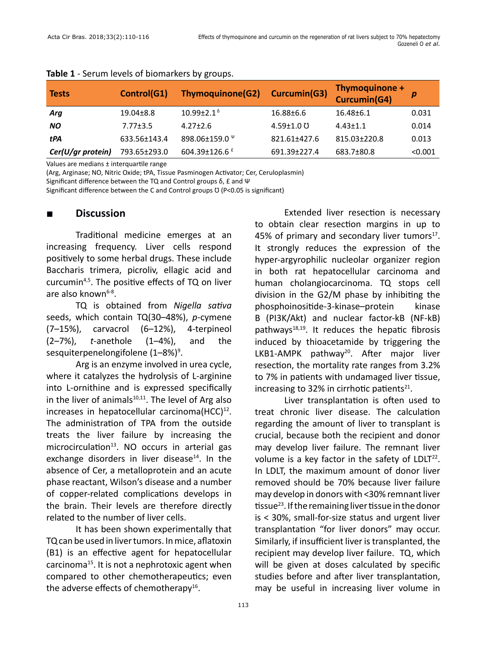| <b>Tests</b>      | Control(G1)     | <b>Thymoquinone(G2)</b>      | Curcumin(G3)     | Thymoquinone +<br>Curcumin(G4) | р       |
|-------------------|-----------------|------------------------------|------------------|--------------------------------|---------|
| Arg               | $19.04 \pm 8.8$ | $10.99 \pm 2.1^{\delta}$     | 16.88±6.6        | $16.48 \pm 6.1$                | 0.031   |
| <b>NO</b>         | $7.77 \pm 3.5$  | $4.27 \pm 2.6$               | $4.59 \pm 1.0$ U | $4.43 \pm 1.1$                 | 0.014   |
| tPA               | 633.56±143.4    | 898.06±159.0 $\rm{^{\circ}}$ | 821.61±427.6     | 815.03±220.8                   | 0.013   |
| Cer(U/gr protein) | 793.65±293.0    | 604.39±126.6 f               | 691.39±227.4     | 683.7±80.8                     | < 0.001 |

#### **Table 1** - Serum levels of biomarkers by groups.

Values are medians ± interquartile range

(Arg, Arginase; NO, Nitric Oxide; tPA, Tissue Pasminogen Activator; Cer, Ceruloplasmin)

Significant difference between the TQ and Control groups δ, £ and Ψ

Significant difference between the C and Control groups  $U$  (P<0.05 is significant)

### **■ Discussion**

Traditional medicine emerges at an increasing frequency. Liver cells respond positively to some herbal drugs. These include Baccharis trimera, picroliv, ellagic acid and curcumin4,5. The positive effects of TQ on liver are also known $6-8$ .

TQ is obtained from *Nigella sativa* seeds, which contain TQ(30–48%), *p*-cymene (7–15%), carvacrol (6–12%), 4-terpineol (2–7%), *t*-anethole (1–4%), and the sesquiterpenelongifolene (1–8%)<sup>9</sup>.

Arg is an enzyme involved in urea cycle, where it catalyzes the hydrolysis of L-arginine into L-ornithine and is expressed specifically in the liver of animals $10,11$ . The level of Arg also increases in hepatocellular carcinoma $(HCC)^{12}$ . The administration of TPA from the outside treats the liver failure by increasing the microcirculation $13$ . NO occurs in arterial gas exchange disorders in liver disease $14$ . In the absence of Cer, a metalloprotein and an acute phase reactant, Wilson's disease and a number of copper-related complications develops in the brain. Their levels are therefore directly related to the number of liver cells.

It has been shown experimentally that TQ can be used in liver tumors. In mice, aflatoxin (B1) is an effective agent for hepatocellular carcinoma<sup>15</sup>. It is not a nephrotoxic agent when compared to other chemotherapeutics; even the adverse effects of chemotherapy $16$ .

Extended liver resection is necessary to obtain clear resection margins in up to 45% of primary and secondary liver tumors $17$ . It strongly reduces the expression of the hyper-argyrophilic nucleolar organizer region in both rat hepatocellular carcinoma and human cholangiocarcinoma. TQ stops cell division in the G2/M phase by inhibiting the phosphoinositide-3-kinase–protein kinase B (PI3K/Akt) and nuclear factor-kB (NF-kB) pathways $18,19$ . It reduces the hepatic fibrosis induced by thioacetamide by triggering the LKB1-AMPK pathway<sup>20</sup>. After major liver resection, the mortality rate ranges from 3.2% to 7% in patients with undamaged liver tissue, increasing to 32% in cirrhotic patients $21$ .

Liver transplantation is often used to treat chronic liver disease. The calculation regarding the amount of liver to transplant is crucial, because both the recipient and donor may develop liver failure. The remnant liver volume is a key factor in the safety of  $LDLT<sup>22</sup>$ . In LDLT, the maximum amount of donor liver removed should be 70% because liver failure may develop in donors with <30% remnant liver tissue<sup>23</sup>. If the remaining liver tissue in the donor is < 30%, small-for-size status and urgent liver transplantation "for liver donors" may occur. Similarly, if insufficient liver is transplanted, the recipient may develop liver failure. TQ, which will be given at doses calculated by specific studies before and after liver transplantation, may be useful in increasing liver volume in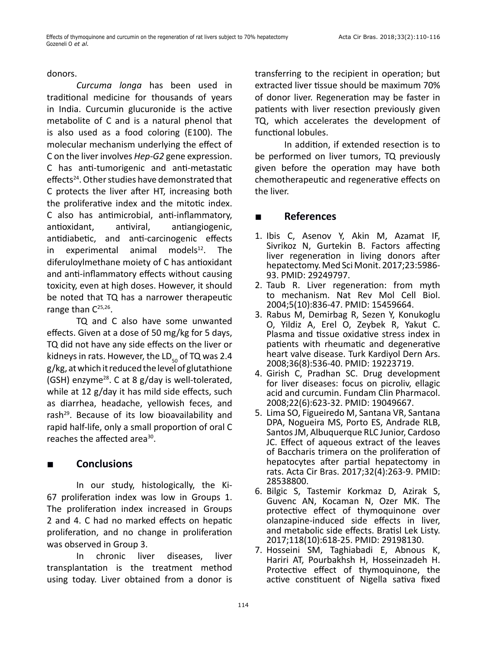#### donors.

*Curcuma longa* has been used in traditional medicine for thousands of years in India. Curcumin glucuronide is the active metabolite of C and is a natural phenol that is also used as a food coloring (E100). The molecular mechanism underlying the effect of C on the liver involves *Hep-G2* gene expression. C has anti-tumorigenic and anti-metastatic effects<sup>24</sup>. Other studies have demonstrated that C protects the liver after HT, increasing both the proliferative index and the mitotic index. C also has antimicrobial, anti-inflammatory, antioxidant, antiviral, antiangiogenic, antidiabetic, and anti-carcinogenic effects in experimental animal models $12$ . The diferuloylmethane moiety of C has antioxidant and anti-inflammatory effects without causing toxicity, even at high doses. However, it should be noted that TQ has a narrower therapeutic range than C<sup>25,26</sup>.

TQ and C also have some unwanted effects. Given at a dose of 50 mg/kg for 5 days, TQ did not have any side effects on the liver or kidneys in rats. However, the  $LD_{50}$  of TQ was 2.4 g/kg, at which it reduced the level of glutathione (GSH) enzyme<sup>28</sup>. C at 8  $g$ /day is well-tolerated, while at 12 g/day it has mild side effects, such as diarrhea, headache, yellowish feces, and rash $^{29}$ . Because of its low bioavailability and rapid half-life, only a small proportion of oral C reaches the affected area<sup>30</sup>.

# **■ Conclusions**

In our study, histologically, the Ki-67 proliferation index was low in Groups 1. The proliferation index increased in Groups 2 and 4. C had no marked effects on hepatic proliferation, and no change in proliferation was observed in Group 3.

In chronic liver diseases, liver transplantation is the treatment method using today. Liver obtained from a donor is transferring to the recipient in operation; but extracted liver tissue should be maximum 70% of donor liver. Regeneration may be faster in patients with liver resection previously given TQ, which accelerates the development of functional lobules.

In addition, if extended resection is to be performed on liver tumors, TQ previously given before the operation may have both chemotherapeutic and regenerative effects on the liver.

# **■ References**

- 1. Ibis C, Asenov Y, Akin M, Azamat IF, Sivrikoz N, Gurtekin B. Factors affecting liver regeneration in living donors after hepatectomy. Med Sci Monit. 2017;23:5986- 93. PMID: 29249797.
- 2. Taub R. Liver regeneration: from myth to mechanism. Nat Rev Mol Cell Biol. 2004;5(10):836-47. PMID: 15459664.
- 3. Rabus M, Demirbag R, Sezen Y, Konukoglu O, Yildiz A, Erel O, Zeybek R, Yakut C. Plasma and tissue oxidative stress index in patients with rheumatic and degenerative heart valve disease. Turk Kardiyol Dern Ars. 2008;36(8):536-40. PMID: 19223719.
- 4. Girish C, Pradhan SC. Drug development for liver diseases: focus on picroliv, ellagic acid and curcumin. Fundam Clin Pharmacol. 2008;22(6):623-32. PMID: 19049667.
- 5. Lima SO, Figueiredo M, Santana VR, Santana DPA, Nogueira MS, Porto ES, Andrade RLB, Santos JM, Albuquerque RLC Junior, Cardoso JC. Effect of aqueous extract of the leaves of Baccharis trimera on the proliferation of hepatocytes after partial hepatectomy in rats. Acta Cir Bras. 2017;32(4):263-9. PMID: 28538800.
- 6. Bilgic S, Tastemir Korkmaz D, Azirak S, Guvenc AN, Kocaman N, Ozer MK. The protective effect of thymoquinone over olanzapine-induced side effects in liver, and metabolic side effects. Bratisl Lek Listy. 2017;118(10):618-25. PMID: 29198130.
- 7. Hosseini SM, Taghiabadi E, Abnous K, Hariri AT, Pourbakhsh H, Hosseinzadeh H. Protective effect of thymoquinone, the active constituent of Nigella sativa fixed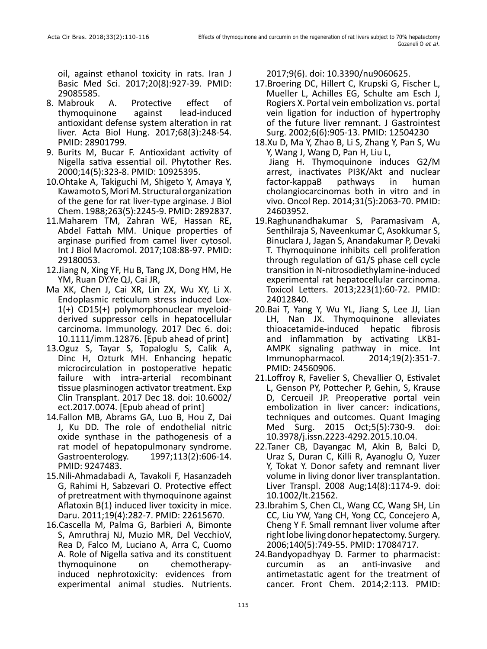oil, against ethanol toxicity in rats. Iran J Basic Med Sci. 2017;20(8):927-39. PMID: 29085585.

- 8. Mabrouk A. Protective effect of thymoquinone against lead-induced antioxidant defense system alteration in rat liver. Acta Biol Hung. 2017;68(3):248-54. PMID: 28901799.
- 9. Burits M, Bucar F. Antioxidant activity of Nigella sativa essential oil. Phytother Res. 2000;14(5):323-8. PMID: 10925395.
- 10.Ohtake A, Takiguchi M, Shigeto Y, Amaya Y, Kawamoto S, Mori M. Structural organization of the gene for rat liver-type arginase. J Biol Chem. 1988;263(5):2245-9. PMID: 2892837.
- 11.Maharem TM, Zahran WE, Hassan RE, Abdel Fattah MM. Unique properties of arginase purified from camel liver cytosol. Int J Biol Macromol. 2017;108:88-97. PMID: 29180053.
- 12.Jiang N, Xing YF, Hu B, Tang JX, Dong HM, He YM, Ruan DY.Ye QJ, Cai JR,
- Ma XK, Chen J, Cai XR, Lin ZX, Wu XY, Li X. Endoplasmic reticulum stress induced Lox-1(+) CD15(+) polymorphonuclear myeloidderived suppressor cells in hepatocellular carcinoma. Immunology. 2017 Dec 6. doi: 10.1111/imm.12876. [Epub ahead of print]
- 13.Oguz S, Tayar S, Topaloglu S, Calik A, Dinc H, Ozturk MH. Enhancing hepatic microcirculation in postoperative hepatic failure with intra-arterial recombinant tissue plasminogen activator treatment. Exp Clin Transplant. 2017 Dec 18. doi: 10.6002/ ect.2017.0074. [Epub ahead of print]
- 14.Fallon MB, Abrams GA, Luo B, Hou Z, Dai J, Ku DD. The role of endothelial nitric oxide synthase in the pathogenesis of a rat model of hepatopulmonary syndrome. Gastroenterology. 1997;113(2):606-14. PMID: 9247483.
- 15.Nili-Ahmadabadi A, Tavakoli F, Hasanzadeh G, Rahimi H, Sabzevari O. Protective effect of pretreatment with thymoquinone against Aflatoxin B(1) induced liver toxicity in mice. Daru. 2011;19(4):282-7. PMID: 22615670.
- 16.Cascella M, Palma G, Barbieri A, Bimonte S, Amruthraj NJ, Muzio MR, Del VecchioV, Rea D, Falco M, Luciano A, Arra C, Cuomo A. Role of Nigella sativa and its constituent thymoquinone on chemotherapyinduced nephrotoxicity: evidences from experimental animal studies. Nutrients.

2017;9(6). doi: 10.3390/nu9060625.

- 17.Broering DC, Hillert C, Krupski G, Fischer L, Mueller L, Achilles EG, Schulte am Esch J, Rogiers X. Portal vein embolization vs. portal vein ligation for induction of hypertrophy of the future liver remnant. J Gastrointest Surg. 2002;6(6):905-13. PMID: 12504230
- 18.Xu D, Ma Y, Zhao B, Li S, Zhang Y, Pan S, Wu Y, Wang J, Wang D, Pan H, Liu L, Jiang H. Thymoquinone induces G2/M arrest, inactivates PI3K/Akt and nuclear factor-kappaB pathways in human cholangiocarcinomas both in vitro and in vivo. Oncol Rep. 2014;31(5):2063-70. PMID: 24603952.
- 19.Raghunandhakumar S, Paramasivam A, Senthilraja S, Naveenkumar C, Asokkumar S, Binuclara J, Jagan S, Anandakumar P, Devaki T. Thymoquinone inhibits cell proliferation through regulation of G1/S phase cell cycle transition in N-nitrosodiethylamine-induced experimental rat hepatocellular carcinoma. Toxicol Letters. 2013;223(1):60-72. PMID: 24012840.
- 20.Bai T, Yang Y, Wu YL, Jiang S, Lee JJ, Lian LH, Nan JX. Thymoquinone alleviates thioacetamide-induced hepatic fibrosis and inflammation by activating LKB1- AMPK signaling pathway in mice. Int Immunopharmacol. 2014;19(2):351-7. PMID: 24560906.
- 21.Loffroy R, Favelier S, Chevallier O, Estivalet L, Genson PY, Pottecher P, Gehin, S, Krause D, Cercueil JP. Preoperative portal vein embolization in liver cancer: indications, techniques and outcomes. [Quant Imaging](https://www.ncbi.nlm.nih.gov/pubmed/26682142)  [Med Surg.](https://www.ncbi.nlm.nih.gov/pubmed/26682142) 2015 Oct;5(5):730-9. doi: 10.3978/j.issn.2223-4292.2015.10.04.
- 22.Taner CB, Dayangac M, Akin B, Balci D, Uraz S, Duran C, Killi R, Ayanoglu O, Yuzer Y, Tokat Y. Donor safety and remnant liver volume in living donor liver transplantation. [Liver Transpl.](https://www.ncbi.nlm.nih.gov/pubmed/18668669) 2008 Aug;14(8):1174-9. doi: 10.1002/lt.21562.
- 23.Ibrahim S, Chen CL, Wang CC, Wang SH, Lin CC, Liu YW, Yang CH, Yong CC, Concejero A, Cheng Y F. Small remnant liver volume after right lobe living donor hepatectomy. Surgery. 2006;140(5):749-55. PMID: 17084717.
- 24.Bandyopadhyay D. Farmer to pharmacist: curcumin as an anti-invasive and antimetastatic agent for the treatment of cancer. Front Chem. 2014;2:113. PMID: